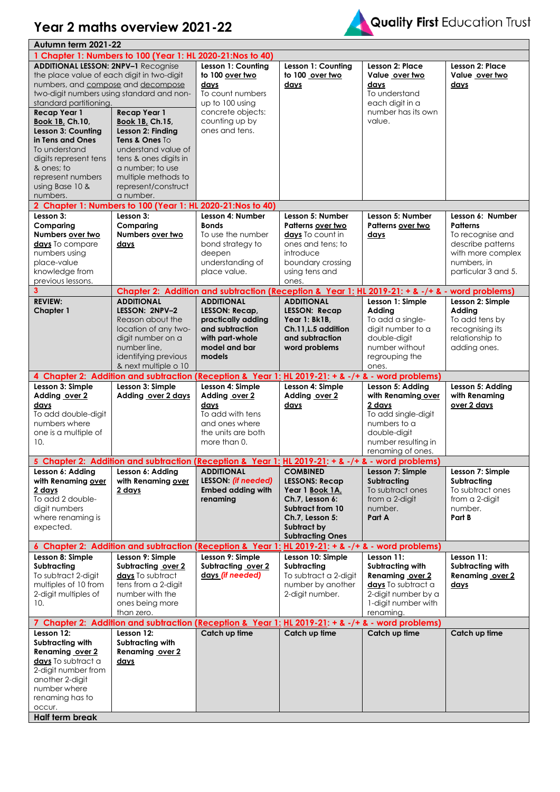



| Autumn term 2021-22                          |                                                                                                                 |                                                                                                 |                                        |                                                      |                                     |
|----------------------------------------------|-----------------------------------------------------------------------------------------------------------------|-------------------------------------------------------------------------------------------------|----------------------------------------|------------------------------------------------------|-------------------------------------|
|                                              | 1 Chapter 1: Numbers to 100 (Year 1: HL 2020-21:Nos to 40)                                                      |                                                                                                 |                                        |                                                      |                                     |
| <b>ADDITIONAL LESSON: 2NPV-1 Recognise</b>   |                                                                                                                 | Lesson 1: Countina                                                                              | Lesson 1: Counting                     | Lesson 2: Place                                      | <b>Lesson 2: Place</b>              |
| the place value of each digit in two-digit   |                                                                                                                 | to 100 over two                                                                                 | to 100 over two                        | Value over two                                       | Value over two                      |
| numbers, and compose and decompose           |                                                                                                                 | days                                                                                            | days                                   | days                                                 | days                                |
| two-digit numbers using standard and non-    |                                                                                                                 | To count numbers                                                                                |                                        | To understand                                        |                                     |
| standard partitioning.                       |                                                                                                                 | up to 100 using                                                                                 |                                        | each digit in a                                      |                                     |
| <b>Recap Year 1</b>                          | <b>Recap Year 1</b>                                                                                             | concrete objects:                                                                               |                                        | number has its own                                   |                                     |
| Book 1B, Ch.10,                              | Book 1B, Ch.15,                                                                                                 | counting up by                                                                                  |                                        | value.                                               |                                     |
| Lesson 3: Counting                           | Lesson 2: Finding                                                                                               | ones and tens.                                                                                  |                                        |                                                      |                                     |
| in Tens and Ones                             | Tens & Ones To                                                                                                  |                                                                                                 |                                        |                                                      |                                     |
| To understand                                | understand value of                                                                                             |                                                                                                 |                                        |                                                      |                                     |
| digits represent tens                        | tens & ones digits in                                                                                           |                                                                                                 |                                        |                                                      |                                     |
| & ones; to                                   | a number; to use                                                                                                |                                                                                                 |                                        |                                                      |                                     |
| represent numbers                            | multiple methods to                                                                                             |                                                                                                 |                                        |                                                      |                                     |
| using Base 10 &                              | represent/construct                                                                                             |                                                                                                 |                                        |                                                      |                                     |
| numbers.                                     | a number.                                                                                                       |                                                                                                 |                                        |                                                      |                                     |
|                                              | 2 Chapter 1: Numbers to 100 (Year 1: HL 2020-21: Nos to 40)                                                     |                                                                                                 |                                        |                                                      |                                     |
| Lesson 3:                                    | Lesson 3:                                                                                                       | Lesson 4: Number                                                                                | Lesson 5: Number                       | Lesson 5: Number                                     | Lesson 6: Number                    |
| Comparing                                    | Comparing                                                                                                       | <b>Bonds</b>                                                                                    | Patterns over two                      | Patterns over two                                    | <b>Patterns</b>                     |
| Numbers over two                             | Numbers over two                                                                                                | To use the number                                                                               | days To count in                       | days                                                 | To recognise and                    |
| days To compare                              | days                                                                                                            | bond strategy to                                                                                | ones and tens; to                      |                                                      | describe patterns                   |
| numbers using                                |                                                                                                                 | deepen                                                                                          | introduce                              |                                                      | with more complex                   |
| place-value                                  |                                                                                                                 | understanding of                                                                                | boundary crossing                      |                                                      | numbers, in                         |
| knowledge from                               |                                                                                                                 | place value.                                                                                    | using tens and                         |                                                      | particular 3 and 5.                 |
| previous lessons.                            |                                                                                                                 |                                                                                                 | ones.                                  |                                                      |                                     |
| 3                                            |                                                                                                                 | Chapter 2: Addition and subtraction (Reception & Year 1: HL 2019-21: + & -/+ & - word problems) |                                        |                                                      |                                     |
| <b>REVIEW:</b>                               | <b>ADDITIONAL</b>                                                                                               | <b>ADDITIONAL</b>                                                                               | <b>ADDITIONAL</b>                      | Lesson 1: Simple                                     | Lesson 2: Simple                    |
| <b>Chapter 1</b>                             | LESSON: 2NPV-2                                                                                                  | LESSON: Recap,                                                                                  | LESSON: Recap                          | Adding                                               | Adding                              |
|                                              | Reason about the                                                                                                | practically adding                                                                              | Year 1: Bk1B,                          | To add a single-                                     | To add tens by                      |
|                                              | location of any two-                                                                                            | and subtraction                                                                                 | Ch.11, L.5 addition                    | digit number to a                                    | recognising its                     |
|                                              | digit number on a                                                                                               | with part-whole                                                                                 | and subtraction                        | double-digit                                         | relationship to                     |
|                                              | number line,<br>identifying previous                                                                            | model and bar<br>models                                                                         | word problems                          | number without                                       | adding ones.                        |
|                                              | & next multiple o 10                                                                                            |                                                                                                 |                                        | regrouping the                                       |                                     |
|                                              | 4 Chapter 2: Addition and subtraction (Reception & Year 1: HL 2019-21: + & -/+ & - word problems)               |                                                                                                 |                                        | ones.                                                |                                     |
|                                              |                                                                                                                 |                                                                                                 |                                        |                                                      |                                     |
|                                              |                                                                                                                 |                                                                                                 |                                        |                                                      |                                     |
| Lesson 3: Simple                             | Lesson 3: Simple                                                                                                | Lesson 4: Simple                                                                                | Lesson 4: Simple                       | Lesson 5: Adding                                     | Lesson 5: Adding                    |
| Adding over 2                                | Adding over 2 days                                                                                              | Adding over 2                                                                                   | Adding over 2                          | with Renaming over                                   | with Renaming                       |
| days                                         |                                                                                                                 | days                                                                                            | days                                   | 2 days                                               | over 2 days                         |
| To add double-digit                          |                                                                                                                 | To add with tens                                                                                |                                        | To add single-digit                                  |                                     |
| numbers where                                |                                                                                                                 | and ones where                                                                                  |                                        | numbers to a                                         |                                     |
| one is a multiple of                         |                                                                                                                 | the units are both                                                                              |                                        | double-digit                                         |                                     |
| 10.                                          |                                                                                                                 | more than 0.                                                                                    |                                        | number resulting in                                  |                                     |
|                                              |                                                                                                                 |                                                                                                 |                                        | renaming of ones.                                    |                                     |
|                                              | 5 Chapter 2: Addition and subtraction (Reception & Year 1: HL 2019-21: + & -/+ & - word problems)               |                                                                                                 |                                        |                                                      |                                     |
| Lesson 6: Adding                             | Lesson 6: Adding                                                                                                | <b>ADDITIONAL</b>                                                                               | <b>COMBINED</b>                        | Lesson 7: Simple                                     | Lesson 7: Simple                    |
| with Renaming over                           | with Renaming over                                                                                              | <b>LESSON: (if needed)</b>                                                                      | <b>LESSONS: Recap</b>                  | <b>Subtractina</b>                                   | Subtracting                         |
| 2 days                                       | 2 days                                                                                                          | <b>Embed adding with</b>                                                                        | Year 1 Book 1A,                        | To subtract ones                                     | To subtract ones                    |
| To add 2 double-                             |                                                                                                                 | renaming                                                                                        | Ch.7. Lesson 6:                        | from a 2-digit                                       | from a 2-digit                      |
| digit numbers                                |                                                                                                                 |                                                                                                 | Subtract from 10                       | number.                                              | number.                             |
| where renaming is                            |                                                                                                                 |                                                                                                 | Ch.7. Lesson 5:                        | Part A                                               | Part B                              |
| expected.                                    |                                                                                                                 |                                                                                                 | Subtract by<br><b>Subtracting Ones</b> |                                                      |                                     |
|                                              |                                                                                                                 |                                                                                                 |                                        |                                                      |                                     |
|                                              | 6 Chapter 2: Addition and subtraction (Reception & Year 1<br>Lesson 9: Simple                                   | Lesson 9: Simple                                                                                | Lesson 10: Simple                      | HL 2019-21: + & -/+ & - word problems)<br>Lesson 11: | Lesson 11:                          |
| Lesson 8: Simple<br>Subtractina              |                                                                                                                 |                                                                                                 |                                        |                                                      |                                     |
|                                              | Subtracting over 2                                                                                              | Subtracting over 2                                                                              | Subtracting                            | Subtracting with                                     | Subtracting with<br>Renaming over 2 |
| To subtract 2-digit                          | days To subtract                                                                                                | days (if needed)                                                                                | To subtract a 2-digit                  | Renaming over 2                                      |                                     |
| multiples of 10 from<br>2-digit multiples of | tens from a 2-digit<br>number with the                                                                          |                                                                                                 | number by another<br>2-digit number.   | days To subtract a<br>2-digit number by a            | days                                |
| 10.                                          |                                                                                                                 |                                                                                                 |                                        |                                                      |                                     |
|                                              | ones being more<br>than zero.                                                                                   |                                                                                                 |                                        | 1-digit number with<br>renaming.                     |                                     |
|                                              |                                                                                                                 |                                                                                                 |                                        |                                                      |                                     |
| Lesson 12:                                   | 7 Chapter 2: Addition and subtraction (Reception & Year 1: HL 2019-21: + & -/+ & - word problems)<br>Lesson 12: | Catch up time                                                                                   | Catch up time                          | Catch up time                                        | Catch up time                       |
| Subtracting with                             | Subtracting with                                                                                                |                                                                                                 |                                        |                                                      |                                     |
| Renaming over 2                              | Renaming over 2                                                                                                 |                                                                                                 |                                        |                                                      |                                     |
| days To subtract a                           | <u>days</u>                                                                                                     |                                                                                                 |                                        |                                                      |                                     |
| 2-digit number from                          |                                                                                                                 |                                                                                                 |                                        |                                                      |                                     |
| another 2-digit                              |                                                                                                                 |                                                                                                 |                                        |                                                      |                                     |
| number where                                 |                                                                                                                 |                                                                                                 |                                        |                                                      |                                     |
| renaming has to                              |                                                                                                                 |                                                                                                 |                                        |                                                      |                                     |
| occur.<br>Half term break                    |                                                                                                                 |                                                                                                 |                                        |                                                      |                                     |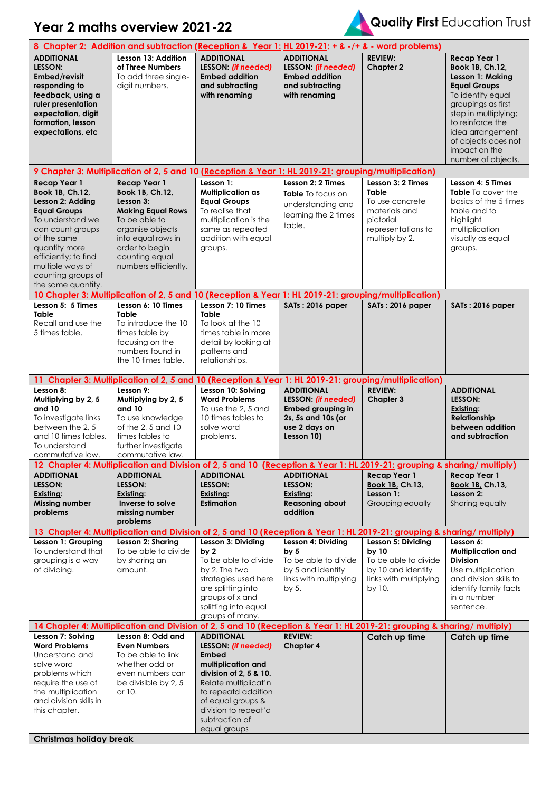## **Year 2 maths overview 2021-22**



## Quality First Education Trust

| 8 Chapter 2: Addition and subtraction (Reception & Year 1: HL 2019-21: + & -/+ & - word problems)                                                                                                                                                 |                                                                                                                                                                                                               |                                                                                                                                                                                                                   |                                                                                                                           |                                                                                                                            |                                                                                                                                                                                                                                                            |  |  |  |
|---------------------------------------------------------------------------------------------------------------------------------------------------------------------------------------------------------------------------------------------------|---------------------------------------------------------------------------------------------------------------------------------------------------------------------------------------------------------------|-------------------------------------------------------------------------------------------------------------------------------------------------------------------------------------------------------------------|---------------------------------------------------------------------------------------------------------------------------|----------------------------------------------------------------------------------------------------------------------------|------------------------------------------------------------------------------------------------------------------------------------------------------------------------------------------------------------------------------------------------------------|--|--|--|
| <b>ADDITIONAL</b><br>LESSON:<br>Embed/revisit<br>responding to<br>feedback, using a<br>ruler presentation<br>expectation, digit<br>formation, lesson<br>expectations, etc                                                                         | Lesson 13: Addition<br>of Three Numbers<br>To add three single-<br>digit numbers.                                                                                                                             | <b>ADDITIONAL</b><br>LESSON: (if needed)<br><b>Embed addition</b><br>and subtracting<br>with renaming                                                                                                             | <b>ADDITIONAL</b><br>LESSON: (if needed)<br><b>Embed addition</b><br>and subtracting<br>with renaming                     | <b>REVIEW:</b><br><b>Chapter 2</b>                                                                                         | Recap Year 1<br><b>Book 1B, Ch.12,</b><br>Lesson 1: Making<br><b>Equal Groups</b><br>To identify equal<br>groupings as first<br>step in multiplying;<br>to reinforce the<br>idea arrangement<br>of objects does not<br>impact on the<br>number of objects. |  |  |  |
|                                                                                                                                                                                                                                                   | 9 Chapter 3: Multiplication of 2, 5 and 10 (Reception & Year 1: HL 2019-21: grouping/multiplication)                                                                                                          |                                                                                                                                                                                                                   |                                                                                                                           |                                                                                                                            |                                                                                                                                                                                                                                                            |  |  |  |
| <b>Recap Year 1</b><br>Book 1B, Ch.12,<br>Lesson 2: Adding<br><b>Equal Groups</b><br>To understand we<br>can count groups<br>of the same<br>quantity more<br>efficiently; to find<br>multiple ways of<br>counting groups of<br>the same quantity. | <b>Recap Year 1</b><br><b>Book 1B, Ch.12,</b><br>Lesson 3:<br><b>Making Equal Rows</b><br>To be able to<br>organise objects<br>into equal rows in<br>order to begin<br>counting equal<br>numbers efficiently. | Lesson 1:<br><b>Multiplication as</b><br><b>Equal Groups</b><br>To realise that<br>multiplication is the<br>same as repeated<br>addition with equal<br>groups.                                                    | Lesson 2: 2 Times<br>Table To focus on<br>understanding and<br>learning the 2 times<br>table.                             | Lesson 3: 2 Times<br><b>Table</b><br>To use concrete<br>materials and<br>pictorial<br>representations to<br>multiply by 2. | Lesson 4: 5 Times<br><b>Table</b> To cover the<br>basics of the 5 times<br>table and to<br>highlight<br>multiplication<br>visually as equal<br>groups.                                                                                                     |  |  |  |
| Lesson 5: 5 Times                                                                                                                                                                                                                                 | 10 Chapter 3: Multiplication of 2, 5 and 10 (Reception & Year 1: HL 2019-21: grouping/multiplication)<br>Lesson 6: 10 Times                                                                                   | Lesson 7: 10 Times                                                                                                                                                                                                | SATs: 2016 paper                                                                                                          |                                                                                                                            |                                                                                                                                                                                                                                                            |  |  |  |
| <b>Table</b><br>Recall and use the<br>5 times table.                                                                                                                                                                                              | <b>Table</b><br>To introduce the 10<br>times table by<br>focusing on the<br>numbers found in<br>the 10 times table.                                                                                           | <b>Table</b><br>To look at the 10<br>times table in more<br>detail by looking at<br>patterns and<br>relationships.                                                                                                |                                                                                                                           | SATs: 2016 paper                                                                                                           | SATs: 2016 paper                                                                                                                                                                                                                                           |  |  |  |
|                                                                                                                                                                                                                                                   | 11 Chapter 3: Multiplication of 2, 5 and 10 (Reception & Year 1: HL 2019-21: grouping/multiplication)                                                                                                         |                                                                                                                                                                                                                   |                                                                                                                           |                                                                                                                            |                                                                                                                                                                                                                                                            |  |  |  |
| Lesson 8:<br>Multiplying by 2, 5<br>and 10<br>To investigate links<br>between the 2, 5<br>and 10 times tables.<br>To understand<br>commutative law.                                                                                               | Lesson 9:<br>Multiplying by 2, 5<br>and 10<br>To use knowledge<br>of the 2, 5 and 10<br>times tables to<br>further investigate<br>commutative law.                                                            | Lesson 10: Solving<br><b>Word Problems</b><br>To use the 2, 5 and<br>10 times tables to<br>solve word<br>problems.                                                                                                | <b>ADDITIONAL</b><br>LESSON: (if needed)<br><b>Embed grouping in</b><br>2s, 5s and 10s (or<br>use 2 days on<br>Lesson 10) | <b>REVIEW:</b><br><b>Chapter 3</b>                                                                                         | <b>ADDITIONAL</b><br>LESSON:<br>Existing:<br><b>Relationship</b><br>between addition<br>and subtraction                                                                                                                                                    |  |  |  |
| <b>ADDITIONAL</b>                                                                                                                                                                                                                                 | 12 Chapter 4: Multiplication and Division of 2, 5 and 10 (Reception & Year 1: HL 2019-21: grouping & sharing/multiply)<br><b>ADDITIONAL</b>                                                                   | <b>ADDITIONAL</b>                                                                                                                                                                                                 | <b>ADDITIONAL</b>                                                                                                         | <b>Recap Year 1</b>                                                                                                        | Recap Year 1                                                                                                                                                                                                                                               |  |  |  |
| LESSON:<br>Existing:<br><b>Missing number</b><br>problems                                                                                                                                                                                         | LESSON:<br><b>Existing:</b><br>Inverse to solve<br>missing number<br>problems                                                                                                                                 | LESSON:<br>Existing:<br><b>Estimation</b>                                                                                                                                                                         | LESSON:<br>Existing:<br><b>Reasoning about</b><br>addition                                                                | <b>Book 1B, Ch.13,</b><br>Lesson 1:<br>Grouping equally                                                                    | <b>Book 1B, Ch.13,</b><br>Lesson 2:<br>Sharing equally                                                                                                                                                                                                     |  |  |  |
| 13 Chapter 4: Multiplication and Division of 2, 5 and 10 (Reception & Year 1: HL 2019-21: grouping & sharing/multiply)<br>Lesson 6:                                                                                                               |                                                                                                                                                                                                               |                                                                                                                                                                                                                   |                                                                                                                           |                                                                                                                            |                                                                                                                                                                                                                                                            |  |  |  |
| Lesson 1: Grouping<br>To understand that<br>grouping is a way<br>of dividing.                                                                                                                                                                     | Lesson 2: Sharing<br>To be able to divide<br>by sharing an<br>amount.                                                                                                                                         | Lesson 3: Dividing<br>by 2<br>To be able to divide<br>by 2. The two<br>strategies used here<br>are splitting into<br>groups of x and<br>splitting into equal<br>groups of many.                                   | Lesson 4: Dividing<br>by 5<br>To be able to divide<br>by 5 and identify<br>links with multiplying<br>by $5.$              | Lesson 5: Dividing<br>by 10<br>To be able to divide<br>by 10 and identify<br>links with multiplying<br>by 10.              | <b>Multiplication and</b><br><b>Division</b><br>Use multiplication<br>and division skills to<br>identify family facts<br>in a number<br>sentence.                                                                                                          |  |  |  |
| Lesson 7: Solving                                                                                                                                                                                                                                 | 14 Chapter 4: Multiplication and Division of 2, 5 and 10 (Reception & Year 1: HL 2019-21: grouping & sharing/multiply)<br>Lesson 8: Odd and                                                                   | <b>ADDITIONAL</b>                                                                                                                                                                                                 | <b>REVIEW:</b>                                                                                                            | Catch up time                                                                                                              | Catch up time                                                                                                                                                                                                                                              |  |  |  |
| <b>Word Problems</b><br>Understand and<br>solve word<br>problems which<br>require the use of<br>the multiplication<br>and division skills in<br>this chapter.                                                                                     | <b>Even Numbers</b><br>To be able to link<br>whether odd or<br>even numbers can<br>be divisible by 2, 5<br>or 10.                                                                                             | LESSON: (if needed)<br><b>Embed</b><br>multiplication and<br>division of 2, 5 & 10.<br>Relate multiplicat'n<br>to repeatd addition<br>of equal groups &<br>division to repeat'd<br>subtraction of<br>equal groups | <b>Chapter 4</b>                                                                                                          |                                                                                                                            |                                                                                                                                                                                                                                                            |  |  |  |
|                                                                                                                                                                                                                                                   |                                                                                                                                                                                                               |                                                                                                                                                                                                                   | <b>Christmas holiday break</b>                                                                                            |                                                                                                                            |                                                                                                                                                                                                                                                            |  |  |  |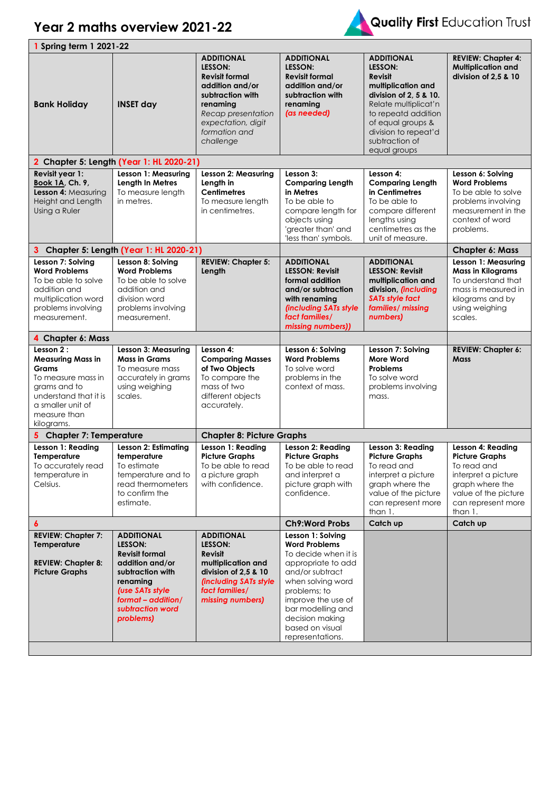



| 1 Spring term 1 2021-22                                                                                                                                                            |                                                                                                                                                                                    |                                                                                                                                                                                                                                                      |                                                                                                                                                                                                                       |                                                                                                                                                              |
|------------------------------------------------------------------------------------------------------------------------------------------------------------------------------------|------------------------------------------------------------------------------------------------------------------------------------------------------------------------------------|------------------------------------------------------------------------------------------------------------------------------------------------------------------------------------------------------------------------------------------------------|-----------------------------------------------------------------------------------------------------------------------------------------------------------------------------------------------------------------------|--------------------------------------------------------------------------------------------------------------------------------------------------------------|
| <b>INSET day</b>                                                                                                                                                                   | <b>ADDITIONAL</b><br>LESSON:<br><b>Revisit formal</b><br>addition and/or<br>subtraction with<br>renaming<br>Recap presentation<br>expectation, digit<br>formation and<br>challenge | <b>ADDITIONAL</b><br>LESSON:<br><b>Revisit formal</b><br>addition and/or<br>subtraction with<br>renaming<br>(as needed)                                                                                                                              | <b>ADDITIONAL</b><br>LESSON:<br>Revisit<br>multiplication and<br>division of 2, 5 & 10.<br>Relate multiplicat'n<br>to repeatd addition<br>of equal groups &<br>division to repeat'd<br>subtraction of<br>equal groups | <b>REVIEW: Chapter 4:</b><br><b>Multiplication and</b><br>division of 2.5 & 10                                                                               |
|                                                                                                                                                                                    |                                                                                                                                                                                    |                                                                                                                                                                                                                                                      |                                                                                                                                                                                                                       |                                                                                                                                                              |
| Lesson 1: Measuring<br>Length In Metres<br>To measure length<br>in metres.                                                                                                         | <b>Lesson 2: Measuring</b><br>Length in<br><b>Centimetres</b><br>To measure length<br>in centimetres.                                                                              | Lesson 3:<br><b>Comparing Length</b><br>in Metres<br>To be able to<br>compare length for<br>objects using<br>'greater than' and<br>'less than' symbols.                                                                                              | Lesson 4:<br><b>Comparing Length</b><br>in Centimetres<br>To be able to<br>compare different<br>lengths using<br>centimetres as the<br>unit of measure.                                                               | Lesson 6: Solving<br><b>Word Problems</b><br>To be able to solve<br>problems involving<br>measurement in the<br>context of word<br>problems.                 |
|                                                                                                                                                                                    |                                                                                                                                                                                    |                                                                                                                                                                                                                                                      |                                                                                                                                                                                                                       | <b>Chapter 6: Mass</b>                                                                                                                                       |
| Lesson 8: Solving<br><b>Word Problems</b><br>To be able to solve<br>addition and<br>division word<br>problems involving<br>measurement.                                            | <b>REVIEW: Chapter 5:</b><br>Length                                                                                                                                                | <b>ADDITIONAL</b><br><b>LESSON: Revisit</b><br>formal addition<br>and/or subtraction<br>with renaming<br>(including SATs style<br>fact families/<br>missing numbers))                                                                                | <b>ADDITIONAL</b><br><b>LESSON: Revisit</b><br>multiplication and<br>division, (including<br><b>SATs style fact</b><br>families/ missing<br>numbers)                                                                  | Lesson 1: Measuring<br><b>Mass in Kilograms</b><br>To understand that<br>mass is measured in<br>kilograms and by<br>using weighing<br>scales.                |
|                                                                                                                                                                                    |                                                                                                                                                                                    |                                                                                                                                                                                                                                                      |                                                                                                                                                                                                                       |                                                                                                                                                              |
| Lesson 3: Measuring<br><b>Mass in Grams</b><br>To measure mass<br>accurately in grams<br>using weighing<br>scales.                                                                 | Lesson 4:<br><b>Comparing Masses</b><br>of Two Objects<br>To compare the<br>mass of two<br>different objects<br>accurately.                                                        | Lesson 6: Solving<br><b>Word Problems</b><br>To solve word<br>problems in the<br>context of mass.                                                                                                                                                    | Lesson 7: Solving<br><b>More Word</b><br>Problems<br>To solve word<br>problems involving<br>mass.                                                                                                                     | <b>REVIEW: Chapter 6:</b><br>Mass                                                                                                                            |
|                                                                                                                                                                                    |                                                                                                                                                                                    |                                                                                                                                                                                                                                                      |                                                                                                                                                                                                                       |                                                                                                                                                              |
| <b>Lesson 2: Estimating</b><br>temperature<br>To estimate<br>temperature and to<br>read thermometers<br>to confirm the<br>estimate.                                                | Lesson 1: Reading<br><b>Picture Graphs</b><br>To be able to read<br>a picture graph<br>with confidence.                                                                            | Lesson 2: Reading<br><b>Picture Graphs</b><br>To be able to read<br>and interpret a<br>picture graph with<br>confidence.                                                                                                                             | Lesson 3: Reading<br><b>Picture Graphs</b><br>To read and<br>interpret a picture<br>graph where the<br>value of the picture<br>can represent more<br>than 1.                                                          | Lesson 4: Reading<br><b>Picture Graphs</b><br>To read and<br>interpret a picture<br>graph where the<br>value of the picture<br>can represent more<br>than 1. |
| $\boldsymbol{6}$<br><b>REVIEW: Chapter 7:</b>                                                                                                                                      |                                                                                                                                                                                    | <b>Ch9:Word Probs</b>                                                                                                                                                                                                                                | Catch up                                                                                                                                                                                                              | Catch up                                                                                                                                                     |
| <b>ADDITIONAL</b><br>LESSON:<br><b>Revisit formal</b><br>addition and/or<br>subtraction with<br>renaming<br>(use SATs style<br>format - addition/<br>subtraction word<br>problems) | <b>ADDITIONAL</b><br>LESSON:<br><b>Revisit</b><br>multiplication and<br>division of 2,5 & 10<br><b>(including SATs style)</b><br>fact families/<br>missing numbers)                | Lesson 1: Solving<br><b>Word Problems</b><br>To decide when it is<br>appropriate to add<br>and/or subtract<br>when solving word<br>problems; to<br>improve the use of<br>bar modelling and<br>decision making<br>based on visual<br>representations. |                                                                                                                                                                                                                       |                                                                                                                                                              |
|                                                                                                                                                                                    | 5 Chapter 7: Temperature                                                                                                                                                           | 2 Chapter 5: Length (Year 1: HL 2020-21)<br>3 Chapter 5: Length (Year 1: HL 2020-21)                                                                                                                                                                 | <b>Chapter 8: Picture Graphs</b>                                                                                                                                                                                      |                                                                                                                                                              |